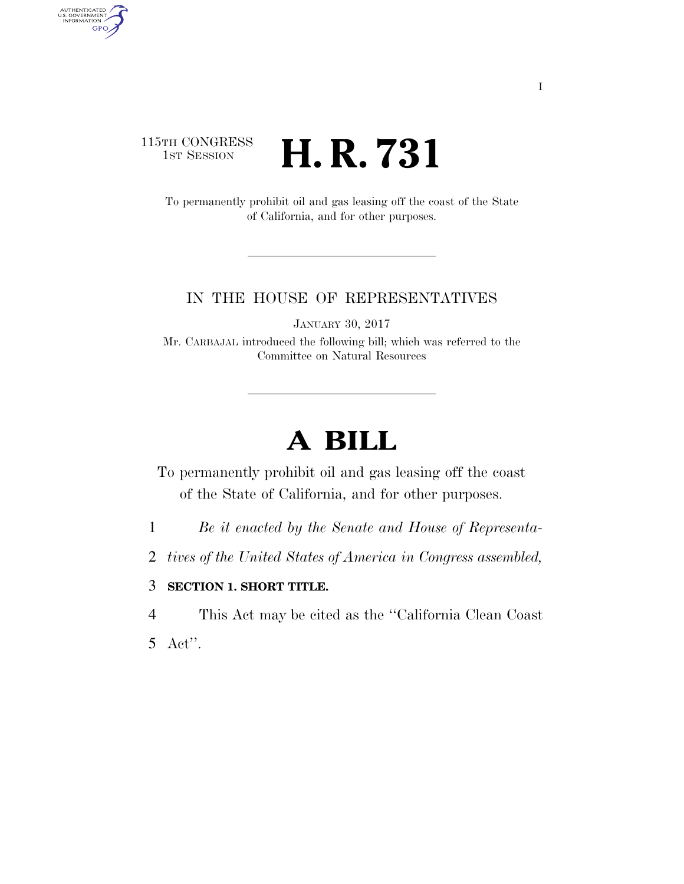### 115TH CONGRESS <sup>TH CONGRESS</sup> **H. R. 731**

To permanently prohibit oil and gas leasing off the coast of the State of California, and for other purposes.

### IN THE HOUSE OF REPRESENTATIVES

JANUARY 30, 2017

Mr. CARBAJAL introduced the following bill; which was referred to the Committee on Natural Resources

# **A BILL**

To permanently prohibit oil and gas leasing off the coast of the State of California, and for other purposes.

1 *Be it enacted by the Senate and House of Representa-*

2 *tives of the United States of America in Congress assembled,* 

#### 3 **SECTION 1. SHORT TITLE.**

4 This Act may be cited as the ''California Clean Coast

5 Act''.

AUTHENTICATED<br>U.S. GOVERNMENT<br>INFORMATION

**GPO**